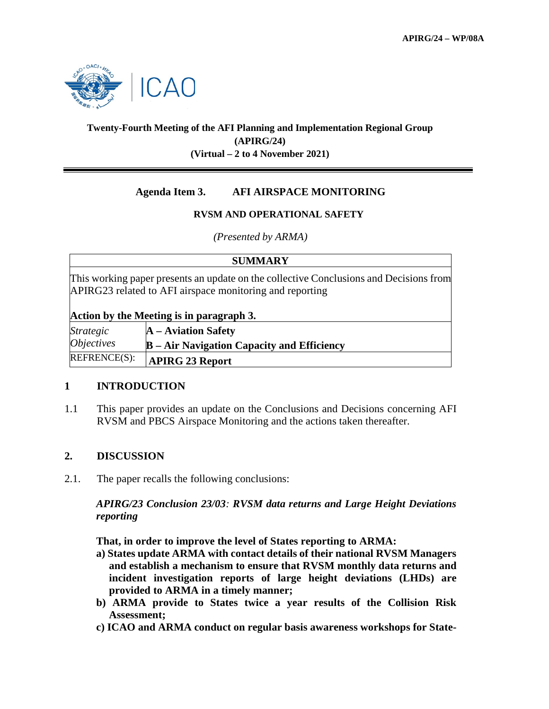

# **Twenty-Fourth Meeting of the AFI Planning and Implementation Regional Group (APIRG/24) (Virtual – 2 to 4 November 2021)**

# **Agenda Item 3. AFI AIRSPACE MONITORING**

# **RVSM AND OPERATIONAL SAFETY**

*(Presented by ARMA)*

| <b>SUMMARY</b>                                                                                                                                     |                                                   |  |  |  |
|----------------------------------------------------------------------------------------------------------------------------------------------------|---------------------------------------------------|--|--|--|
| This working paper presents an update on the collective Conclusions and Decisions from<br>APIRG23 related to AFI airspace monitoring and reporting |                                                   |  |  |  |
| Action by the Meeting is in paragraph 3.                                                                                                           |                                                   |  |  |  |
| <i><b>Strategic</b></i>                                                                                                                            | $A - A$ viation Safety                            |  |  |  |
| <i><b>Objectives</b></i>                                                                                                                           | <b>B</b> – Air Navigation Capacity and Efficiency |  |  |  |
| REFRENCE(S):                                                                                                                                       | <b>APIRG 23 Report</b>                            |  |  |  |

# **1 INTRODUCTION**

1.1 This paper provides an update on the Conclusions and Decisions concerning AFI RVSM and PBCS Airspace Monitoring and the actions taken thereafter.

# **2. DISCUSSION**

2.1. The paper recalls the following conclusions:

*APIRG/23 Conclusion 23/03: RVSM data returns and Large Height Deviations reporting*

**That, in order to improve the level of States reporting to ARMA:** 

- **a) States update ARMA with contact details of their national RVSM Managers and establish a mechanism to ensure that RVSM monthly data returns and incident investigation reports of large height deviations (LHDs) are provided to ARMA in a timely manner;**
- **b) ARMA provide to States twice a year results of the Collision Risk Assessment;**
- **c) ICAO and ARMA conduct on regular basis awareness workshops for State-**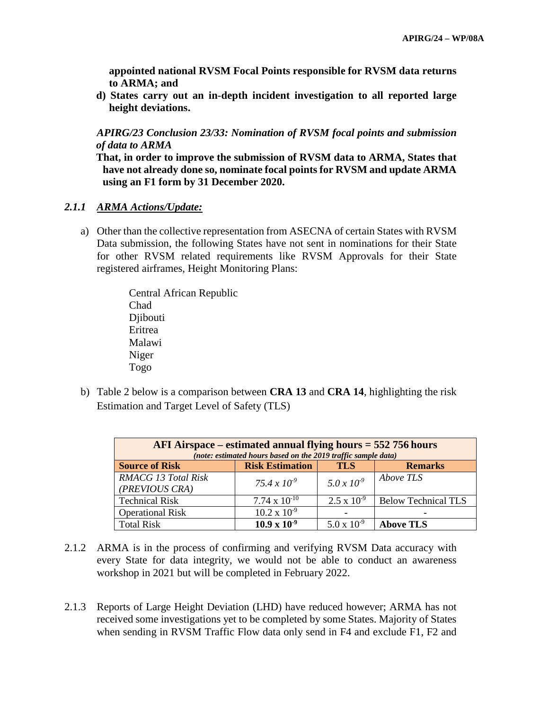**appointed national RVSM Focal Points responsible for RVSM data returns to ARMA; and** 

**d) States carry out an in-depth incident investigation to all reported large height deviations.** 

*APIRG/23 Conclusion 23/33: Nomination of RVSM focal points and submission of data to ARMA*

**That, in order to improve the submission of RVSM data to ARMA, States that have not already done so, nominate focal points for RVSM and update ARMA using an F1 form by 31 December 2020.**

### *2.1.1 ARMA Actions/Update:*

a) Other than the collective representation from ASECNA of certain States with RVSM Data submission, the following States have not sent in nominations for their State for other RVSM related requirements like RVSM Approvals for their State registered airframes, Height Monitoring Plans:

> Central African Republic Chad Djibouti Eritrea Malawi Niger Togo

b) Table 2 below is a comparison between **CRA 13** and **CRA 14**, highlighting the risk Estimation and Target Level of Safety (TLS)

| AFI Airspace – estimated annual flying hours $=$ 552 756 hours<br>(note: estimated hours based on the 2019 traffic sample data) |                        |                      |                            |  |  |
|---------------------------------------------------------------------------------------------------------------------------------|------------------------|----------------------|----------------------------|--|--|
| <b>Source of Risk</b>                                                                                                           | <b>Risk Estimation</b> | <b>TLS</b>           | <b>Remarks</b>             |  |  |
| <b>RMACG 13 Total Risk</b><br>(PREVIOUS CRA)                                                                                    | $75.4 \times 10^{-9}$  | $5.0 \times 10^{-9}$ | Above TLS                  |  |  |
| <b>Technical Risk</b>                                                                                                           | $7.74 \times 10^{-10}$ | $2.5 \times 10^{-9}$ | <b>Below Technical TLS</b> |  |  |
| <b>Operational Risk</b>                                                                                                         | $10.2 \times 10^{-9}$  |                      |                            |  |  |
| <b>Total Risk</b>                                                                                                               | $10.9 \times 10^{-9}$  | $5.0 \times 10^{-9}$ | <b>Above TLS</b>           |  |  |

- 2.1.2 ARMA is in the process of confirming and verifying RVSM Data accuracy with every State for data integrity, we would not be able to conduct an awareness workshop in 2021 but will be completed in February 2022.
- 2.1.3 Reports of Large Height Deviation (LHD) have reduced however; ARMA has not received some investigations yet to be completed by some States. Majority of States when sending in RVSM Traffic Flow data only send in F4 and exclude F1, F2 and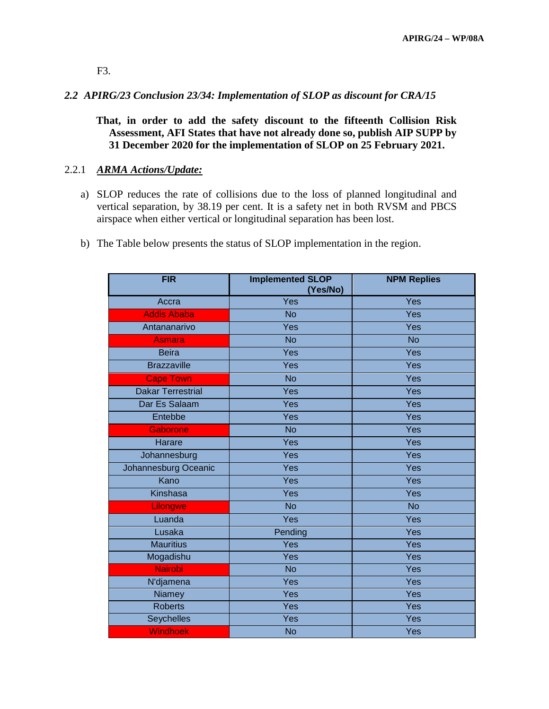F3.

# *2.2 APIRG/23 Conclusion 23/34: Implementation of SLOP as discount for CRA/15*

**That, in order to add the safety discount to the fifteenth Collision Risk Assessment, AFI States that have not already done so, publish AIP SUPP by 31 December 2020 for the implementation of SLOP on 25 February 2021.**

### 2.2.1 *ARMA Actions/Update:*

- a) SLOP reduces the rate of collisions due to the loss of planned longitudinal and vertical separation, by 38.19 per cent. It is a safety net in both RVSM and PBCS airspace when either vertical or longitudinal separation has been lost.
- b) The Table below presents the status of SLOP implementation in the region.

| <b>FIR</b>               | <b>Implemented SLOP</b><br>(Yes/No) | <b>NPM Replies</b> |
|--------------------------|-------------------------------------|--------------------|
| Accra                    | Yes                                 | Yes                |
| <b>Addis Ababa</b>       | <b>No</b>                           | Yes                |
| Antananarivo             | Yes                                 | Yes                |
| <b>Asmara</b>            | <b>No</b>                           | <b>No</b>          |
| <b>Beira</b>             | Yes                                 | Yes                |
| <b>Brazzaville</b>       | Yes                                 | Yes                |
| <b>Cape Town</b>         | <b>No</b>                           | Yes                |
| <b>Dakar Terrestrial</b> | Yes                                 | Yes                |
| Dar Es Salaam            | Yes                                 | Yes                |
| Entebbe                  | Yes                                 | Yes                |
| Gaborone                 | <b>No</b>                           | Yes                |
| <b>Harare</b>            | Yes                                 | Yes                |
| Johannesburg             | Yes                                 | Yes                |
| Johannesburg Oceanic     | Yes                                 | Yes                |
| Kano                     | Yes                                 | Yes                |
| Kinshasa                 | Yes                                 | Yes                |
| Lilongwe                 | <b>No</b>                           | <b>No</b>          |
| Luanda                   | Yes                                 | Yes                |
| Lusaka                   | Pending                             | Yes                |
| <b>Mauritius</b>         | Yes                                 | Yes                |
| Mogadishu                | Yes                                 | Yes                |
| <b>Nairobi</b>           | <b>No</b>                           | Yes                |
| N'djamena                | Yes                                 | Yes                |
| Niamey                   | Yes                                 | Yes                |
| Roberts                  | Yes                                 | Yes                |
| Seychelles               | Yes                                 | Yes                |
| <b>Windhoek</b>          | <b>No</b>                           | Yes                |